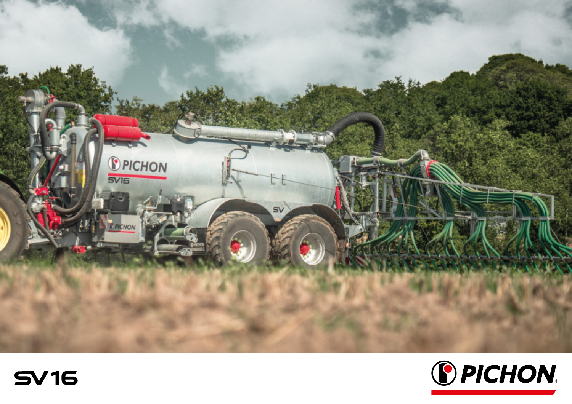